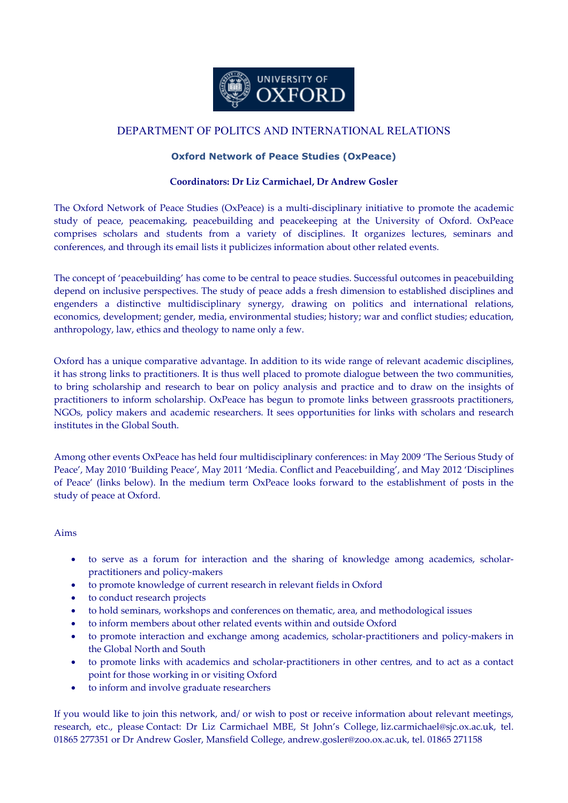

## DEPARTMENT OF POLITCS AND INTERNATIONAL RELATIONS

## **Oxford Network of Peace Studies (OxPeace)**

## **Coordinators: Dr Liz Carmichael, Dr Andrew Gosler**

The Oxford Network of Peace Studies (OxPeace) is a multi-disciplinary initiative to promote the academic study of peace, peacemaking, peacebuilding and peacekeeping at the University of Oxford. OxPeace comprises scholars and students from a variety of disciplines. It organizes lectures, seminars and conferences, and through its email lists it publicizes information about other related events.

The concept of 'peacebuilding' has come to be central to peace studies. Successful outcomes in peacebuilding depend on inclusive perspectives. The study of peace adds a fresh dimension to established disciplines and engenders a distinctive multidisciplinary synergy, drawing on politics and international relations, economics, development; gender, media, environmental studies; history; war and conflict studies; education, anthropology, law, ethics and theology to name only a few.

Oxford has a unique comparative advantage. In addition to its wide range of relevant academic disciplines, it has strong links to practitioners. It is thus well placed to promote dialogue between the two communities, to bring scholarship and research to bear on policy analysis and practice and to draw on the insights of practitioners to inform scholarship. OxPeace has begun to promote links between grassroots practitioners, NGOs, policy makers and academic researchers. It sees opportunities for links with scholars and research institutes in the Global South.

Among other events OxPeace has held four multidisciplinary conferences: in May 2009 'The Serious Study of Peace', May 2010 'Building Peace', May 2011 'Media. Conflict and Peacebuilding', and May 2012 'Disciplines of Peace' (links below). In the medium term OxPeace looks forward to the establishment of posts in the study of peace at Oxford.

## Aims

- to serve as a forum for interaction and the sharing of knowledge among academics, scholarpractitioners and policy-makers
- to promote knowledge of current research in relevant fields in Oxford
- to conduct research projects
- to hold seminars, workshops and conferences on thematic, area, and methodological issues
- to inform members about other related events within and outside Oxford
- to promote interaction and exchange among academics, scholar-practitioners and policy-makers in the Global North and South
- to promote links with academics and scholar-practitioners in other centres, and to act as a contact point for those working in or visiting Oxford
- to inform and involve graduate researchers

If you would like to join this network, and/ or wish to post or receive information about relevant meetings, research, etc., please Contact: Dr Liz Carmichael MBE, St John's College, liz.carmichael@sjc.ox.ac.uk, tel. 01865 277351 or Dr Andrew Gosler, Mansfield College, andrew.gosler@zoo.ox.ac.uk, tel. 01865 271158